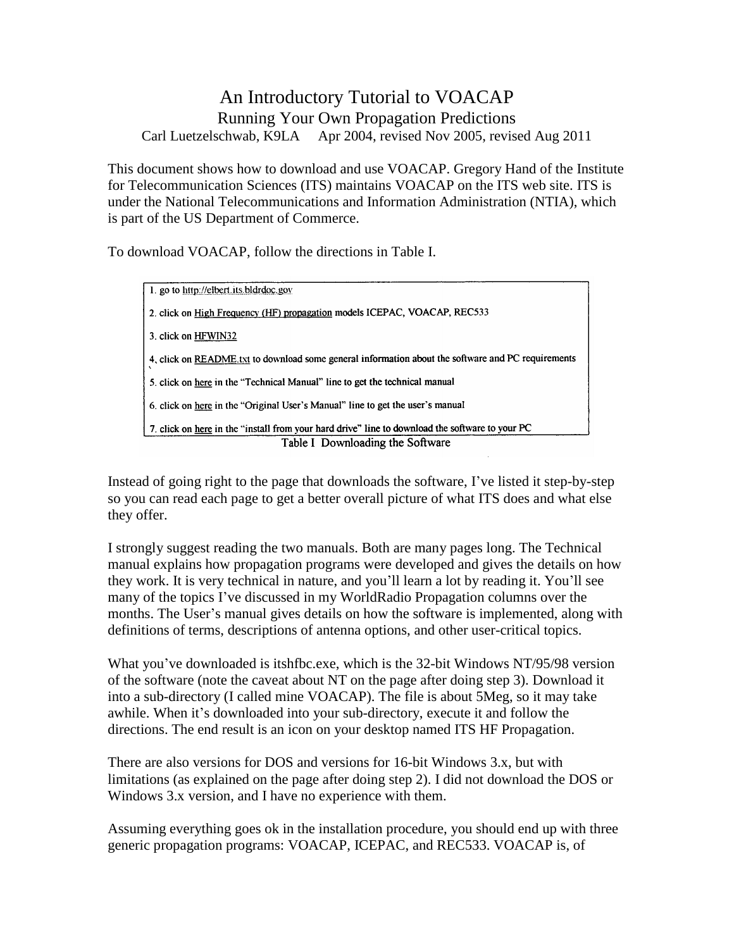## An Introductory Tutorial to VOACAP Running Your Own Propagation Predictions Carl Luetzelschwab, K9LA Apr 2004, revised Nov 2005, revised Aug 2011

This document shows how to download and use VOACAP. Gregory Hand of the Institute for Telecommunication Sciences (ITS) maintains VOACAP on the ITS web site.ITS is under the National Telecommunications and Information Administration (NTIA), which is part of the US Department of Commerce.

To download VOACAP, follow the directions in Table I.

1. go to http://elbert.its.bldrdoc.gov 2. click on High Frequency (HF) propagation models ICEPAC, VOACAP, REC533 3. click on HFWIN32 4, click on README.txt to download some general information about the software and PC requirements 5. click on here in the "Technical Manual" line to get the technical manual 6. click on here in the "Original User's Manual" line to get the user's manual 7. click on here in the "install from your hard drive" line to download the software to your PC

Table I Downloading the Software<br>Instead of going right to the page that downloads the software, I've listed it step-by-step so you can read each page to get a better overall picture of what ITS does and what else they offer.

I strongly suggest reading the two manuals. Both are many pages long. The Technical manual explains how propagation programs were developed and gives the details on how I strongly suggest reading the two manuals. Both are many pages long. The Technical<br>manual explains how propagation programs were developed and gives the details on how<br>they work. It is very technical in nature, and you'll manual explains how propagation programs were developed and gives the details on how<br>they work. It is very technical in nature, and you'll learn a lot by reading it. You'll see<br>many of the topics I've discussed in my World they work. It is very technical in nature, and you'll learn a lot by reading it. You'll see<br>many of the topics I've discussed in my WorldRadio Propagation columns over the<br>months. The User's manual gives details on how the definitions of terms, descriptions of antenna options, and other user-critical topics.

What you've downloaded is itshfbc.exe, which is the 32-bit Windows NT/95/98 version of the software (note the caveat about NT on the page after doing step 3). Download it into a sub-directory (I called mine VOACAP). The file is about 5Meg, so it may take of the software (note the caveat about NT on the page after doing step 3). Download it<br>into a sub-directory (I called mine VOACAP). The file is about 5Meg, so it may take<br>awhile. When it's downloaded into your sub-director directions. The end result is an icon on your desktop named ITS HF Propagation.

There are also versions for DOS and versions for 16-bit Windows 3.x, but with limitations (as explained on the page after doing step 2). I did not download the DOS or Windows 3.x version, and I have no experience with them.

Assuming everything goes ok in the installation procedure, you should end up with three generic propagation programs: VOACAP, ICEPAC, and REC533. VOACAP is, of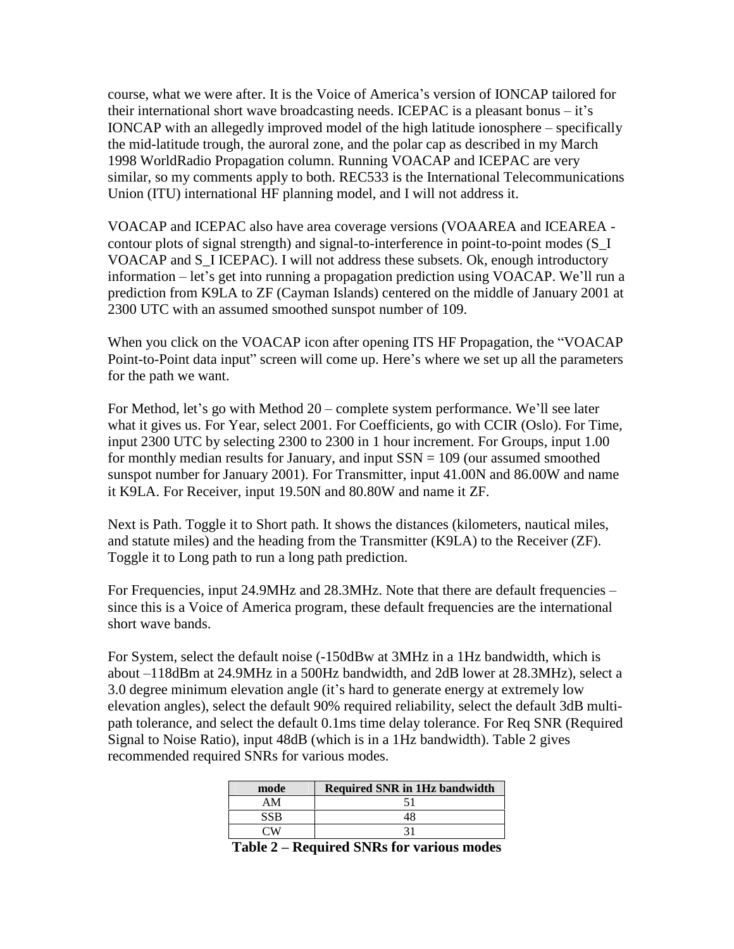course, what we were after. It is the Voice of Americaí<sup>s</sup> version of IONCAP tailored for their international short is the Voice of America's version of IONCAP tailored for their international short wave broadcasting needs. ICEPAC is a pleasant bonus – it's course, what we were after. It is the Voice of America's version of IONCAP tailored for<br>their international short wave broadcasting needs. ICEPAC is a pleasant bonus – it's<br>IONCAP with an allegedly improved model of the hi the mid-latitude trough, the auroral zone, and the polar cap as described in my March 1998 WorldRadio Propagation column. Running VOACAP and ICEPAC are very similar, so my comments apply to both. REC533 is the International Telecommunications Union (ITU) international HF planning model, and I will not address it.

VOACAP and ICEPAC also have area coverage versions (VOAAREA and ICEAREA contour plots of signal strength) and signal-to-interference in point-to-point modes (S\_I VOACAP and S\_I ICEPAC). I will not address these subsets. Ok, enough introductory information – let's get into running a propagation prediction using VOACAP. We'll run a prediction from K9LA to ZF (Cayman Islands) centered on the middle of January 2001 at 2300 UTC with an assumed smoothed sunspot number of 109. 2300 UTC with an assumed smoothed sunspot number of 109.<br>When you click on the VOACAP icon after opening ITS HF Propagation, the "VOACAP

When you click on the VOACAP icon after opening ITS HF Propagation, the "VOACAP<br>Point-to-Point data input" screen will come up. Here's where we set up all the parameters for the path we want.

For Method, let's go with Method  $20 -$  complete system performance. We'll see later what it gives us. For Year, select 2001. For Coefficients, go with CCIR (Oslo). For Time, input 2300 UTC by selecting 2300 to 2300 in 1 hour increment. For Groups, input 1.00 for monthly median results for January, and input  $SSN = 109$  (our assumed smoothed sunspot number for January 2001). For Transmitter, input 41.00N and 86.00W and name it K9LA. For Receiver, input 19.50N and 80.80W and name it ZF.

Next is Path. Toggle it to Short path. It shows the distances (kilometers, nautical miles, and statute miles) and the heading from the Transmitter (K9LA) to the Receiver (ZF). Toggle it to Long path to run a long path prediction.

For Frequencies, input 24.9MHz and 28.3MHz. Note that there are default frequencies  $$ since this is a Voice of America program, these default frequencies are the international short wave bands.

For System, select the default noise (-150dBw at 3MHz in a 1Hz bandwidth, which is For System, select the default noise (-150dBw at 3MHz in a 1Hz bandwidth, which is<br>about –118dBm at 24.9MHz in a 500Hz bandwidth, and 2dB lower at 28.3MHz), select a For System, select the default noise (-150dBw at 3MHz in a 1Hz bandwidth, which is about -118dBm at 24.9MHz in a 500Hz bandwidth, and 2dB lower at 28.3MHz), select a 3.0 degree minimum elevation angle (it's hard to generat elevation angles), select the default 90% required reliability, select the default 3dB multi path tolerance, and select the default 0.1ms time delay tolerance. For Req SNR (Required Signal to Noise Ratio), input 48dB (which is in a 1Hz bandwidth). Table 2 gives recommended required SNRs for various modes.

| mode | <b>Required SNR in 1Hz bandwidth</b> |
|------|--------------------------------------|
| AΜ   |                                      |
| SSR  |                                      |
|      |                                      |

**Table <sup>2</sup> <sup>ñ</sup> Required SNRs for various modes**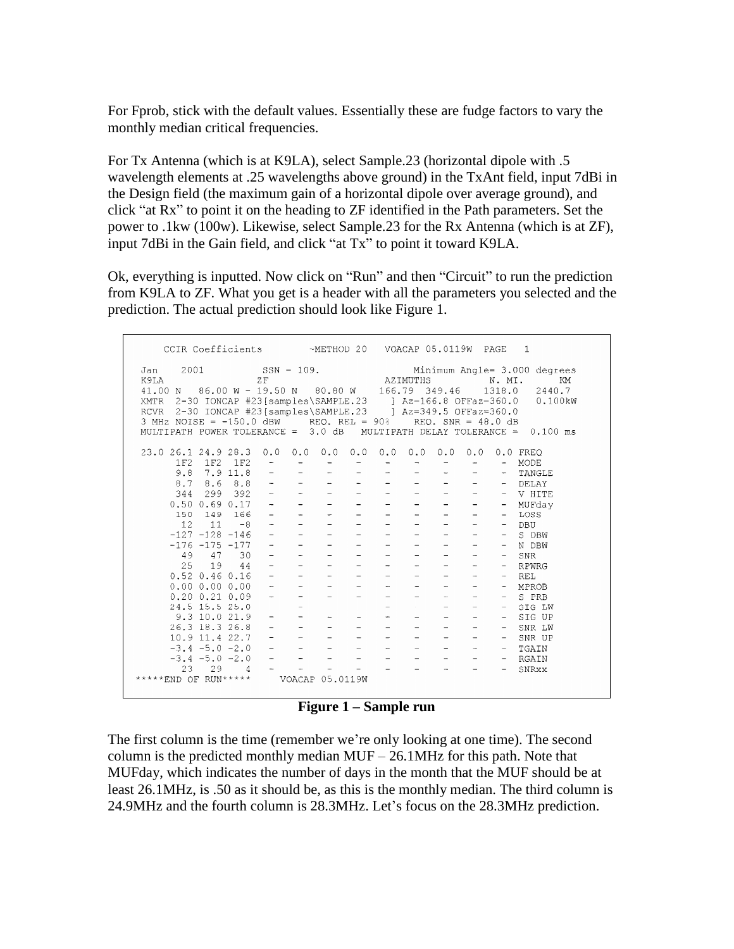For Fprob, stick with the default values. Essentially these are fudge factors to vary the monthly median critical frequencies.

For Tx Antenna (which is at K9LA), select Sample.23 (horizontal dipole with .5 wavelength elements at .25 wavelengths above ground) in the TxAnt field, input 7dBi in<br>the Design field (the maximum gain of a horizontal dipole over average ground), and<br>click "at Rx" to point it on the heading to ZF iden the Design field (the maximum gainof a horizontal dipole over average ground), and power to .1kw (100w).Likewise, select Sample.23 for the Rx Antenna (which is at ZF), click "at Rx" to point it on the heading to ZF identified in the Path parameters. Set the power to .1kw (100w). Likewise, select Sample.23 for the Rx Antenna (which is at ZF) input 7dBi in the Gain field, and click "at Tx"

Ok, everything is inputted. Now click on "Run" and then "Circuit" to run the prediction from K9LA to ZF. What you get is a header with all the parameters you selected and the prediction. The actual prediction should look like Figure 1.

| CCIR Coefficients - METHOD 20 VOACAP 05.0119W PAGE 1                                                                                                                                                                                |                                                 |                                                      |                                                      |                                        |
|-------------------------------------------------------------------------------------------------------------------------------------------------------------------------------------------------------------------------------------|-------------------------------------------------|------------------------------------------------------|------------------------------------------------------|----------------------------------------|
| 2001<br>Jan<br>K9LA<br>ΖF<br>41.00 N 86.00 W - 19.50 N 80.80 W 166.79 349.46 1318.0<br>3 MHz NOISE = $-150.0$ dBW REQ. REL = $90\%$ REQ. SNR = $48.0$ dB<br>MULTIPATH POWER TOLERANCE = 3.0 dB MULTIPATH DELAY TOLERANCE = 0.100 ms | SSN = 109. Minimum Angle= 3.000 degrees         | AZIMUTHS                                             |                                                      | N. MI.<br>KM<br>2440.7                 |
| 23.0 26.1 24.9 28.3                                                                                                                                                                                                                 | $0.0$ $0.0$ $0.0$ $0.0$ $0.0$ $0.0$ $0.0$ $0.0$ |                                                      | 0.0                                                  | 0.0 FREQ                               |
| 1F2<br>1F2 1F2<br>$\frac{1}{2}$                                                                                                                                                                                                     | $\overline{\phantom{a}}$<br>$\blacksquare$      | $\overline{\phantom{a}}$<br>$\overline{\phantom{a}}$ | $\overline{\phantom{0}}$                             | MODE<br>$\sim$                         |
| 9.8<br>7.9 11.8                                                                                                                                                                                                                     |                                                 |                                                      | ÷.                                                   | TANGLE<br>$\sim$                       |
| 8.6<br>8.7<br>8.8                                                                                                                                                                                                                   |                                                 |                                                      |                                                      | DELAY<br>$-$                           |
| 344<br>299<br>392<br>÷.                                                                                                                                                                                                             |                                                 |                                                      | -                                                    | V HITE<br>$-$                          |
| $0.50$ $0.69$ $0.17$                                                                                                                                                                                                                |                                                 |                                                      |                                                      | MUFday<br>$\qquad \qquad -$            |
| 150<br>149 166                                                                                                                                                                                                                      |                                                 |                                                      |                                                      | LOSS<br>$\equiv$                       |
| 12 11<br>$-8$                                                                                                                                                                                                                       |                                                 |                                                      |                                                      | DBU<br>-                               |
| $-127 - 128 - 146$                                                                                                                                                                                                                  |                                                 |                                                      |                                                      | S DBW<br>$\overline{\phantom{m}}$      |
| $-176 - 175 - 177$                                                                                                                                                                                                                  |                                                 |                                                      |                                                      | N DBW<br>$\overline{\phantom{m}}$      |
| 49<br>47<br>30                                                                                                                                                                                                                      |                                                 |                                                      |                                                      | SNR<br>$\overline{\phantom{a}}$        |
| 25 19 44                                                                                                                                                                                                                            |                                                 |                                                      |                                                      | <b>RPWRG</b><br>$\sim$                 |
| $0.52$ $0.46$ $0.16$                                                                                                                                                                                                                |                                                 |                                                      |                                                      | <b>REL</b><br>$\overline{\phantom{a}}$ |
| $0.00$ $0.00$ $0.00$                                                                                                                                                                                                                |                                                 |                                                      |                                                      | MPROB<br>$\overline{\phantom{m}}$      |
| $0.20$ $0.21$ $0.09$                                                                                                                                                                                                                |                                                 |                                                      | u.                                                   | S PRB<br>$\overline{\phantom{m}}$      |
| 24.5 15.5 25.0                                                                                                                                                                                                                      |                                                 |                                                      |                                                      | SIG LW<br>$\overline{\phantom{a}}$     |
| 9.310.021.9<br>$\frac{1}{2}$                                                                                                                                                                                                        |                                                 |                                                      | $\qquad \qquad -$                                    | SIG UP<br>$\overline{\phantom{m}}$     |
| 26.3 18.3 26.8                                                                                                                                                                                                                      | $\qquad \qquad -$                               |                                                      | $\overline{\phantom{0}}$<br>$\overline{\phantom{0}}$ | SNR LW<br>$\overline{\phantom{m}}$     |
| 10.9 11.4 22.7                                                                                                                                                                                                                      |                                                 |                                                      | $\equiv$                                             | SNR UP<br>$\overline{\phantom{m}}$     |
| $-3.4 -5.0 -2.0$                                                                                                                                                                                                                    |                                                 |                                                      | $\overline{\phantom{0}}$                             | TGAIN<br>$\overline{\phantom{m}}$      |
| $-3.4 - 5.0 - 2.0$<br>$\overline{\phantom{a}}$                                                                                                                                                                                      |                                                 |                                                      |                                                      | RGAIN<br>$\sim$                        |
| $23 -$<br>29<br>$\sim$ 4                                                                                                                                                                                                            |                                                 |                                                      |                                                      | SNRxx<br>$-$                           |
| *****END OF RUN*****                                                                                                                                                                                                                | VOACAP 05.0119W                                 |                                                      |                                                      |                                        |

**Figure** 1 – **Sample run** 

The first column is the time (remember we're only looking at one time). The second column is the predicted monthly median  $MUF - 26.1MHz$  for this path. Note that MUFday, which indicates the number of days in the month that the MUF should be at least 26.1MHz, is .50 as it should be, as this is the monthly median. The third column is 24.9MHz and the fourth column is 28.3MHz. Let's fo least 26.1MHz, is .50 as it should be, as this is the monthly median. The third column is